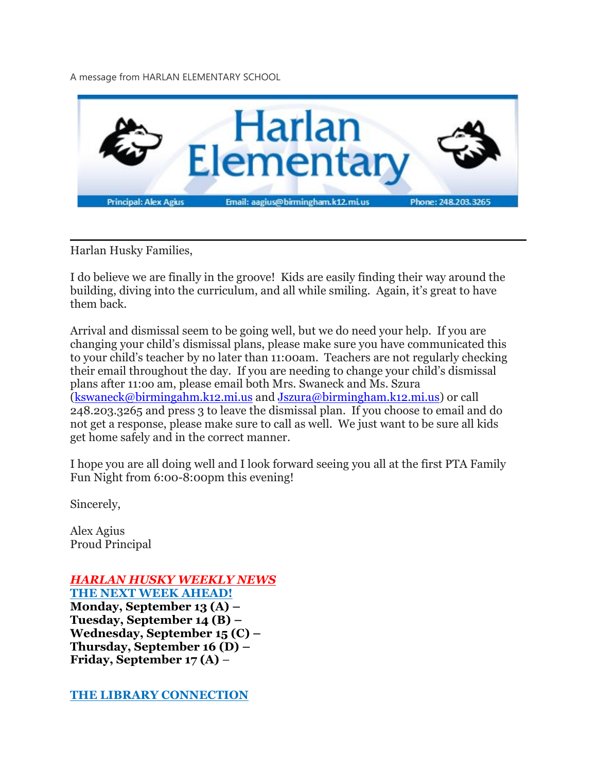A message from HARLAN ELEMENTARY SCHOOL



Harlan Husky Families,

I do believe we are finally in the groove! Kids are easily finding their way around the building, diving into the curriculum, and all while smiling. Again, it's great to have them back.

Arrival and dismissal seem to be going well, but we do need your help. If you are changing your child's dismissal plans, please make sure you have communicated this to your child's teacher by no later than 11:00am. Teachers are not regularly checking their email throughout the day. If you are needing to change your child's dismissal plans after 11:oo am, please email both Mrs. Swaneck and Ms. Szura [\(kswaneck@birmingahm.k12.mi.us](mailto:kswaneck@birmingahm.k12.mi.us) and [Jszura@birmingham.k12.mi.us\)](mailto:Jszura@birmingham.k12.mi.us) or call 248.203.3265 and press 3 to leave the dismissal plan. If you choose to email and do not get a response, please make sure to call as well. We just want to be sure all kids get home safely and in the correct manner.

I hope you are all doing well and I look forward seeing you all at the first PTA Family Fun Night from 6:00-8:00pm this evening!

Sincerely,

Alex Agius Proud Principal

*HARLAN HUSKY WEEKLY NEWS*

**THE NEXT WEEK AHEAD! Monday, September 13 (A) – Tuesday, September 14 (B) – Wednesday, September 15 (C) – Thursday, September 16 (D) – Friday, September 17 (A)** –

**THE LIBRARY CONNECTION**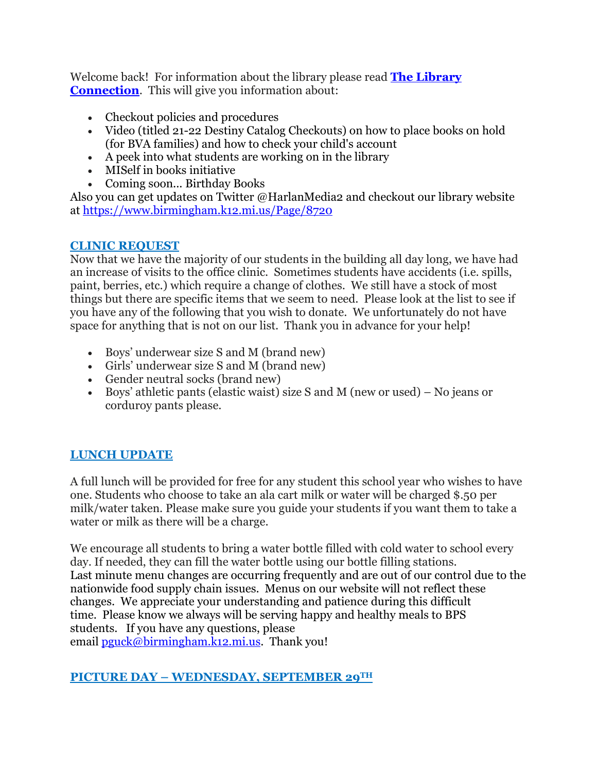Welcome back! For information about the library please read **The [Library](https://www.smore.com/v1k4s) [Connection](https://www.smore.com/v1k4s).** This will give you information about:

- Checkout policies and procedures
- Video (titled 21-22 Destiny Catalog Checkouts) on how to place books on hold (for BVA families) and how to check your child's account
- A peek into what students are working on in the library
- MISelf in books initiative
- Coming soon... Birthday Books

Also you can get updates on Twitter @HarlanMedia2 and checkout our library website at <https://www.birmingham.k12.mi.us/Page/8720>

### **CLINIC REQUEST**

Now that we have the majority of our students in the building all day long, we have had an increase of visits to the office clinic. Sometimes students have accidents (i.e. spills, paint, berries, etc.) which require a change of clothes. We still have a stock of most things but there are specific items that we seem to need. Please look at the list to see if you have any of the following that you wish to donate. We unfortunately do not have space for anything that is not on our list. Thank you in advance for your help!

- Boys' underwear size S and M (brand new)
- Girls' underwear size S and M (brand new)
- Gender neutral socks (brand new)
- Boys' athletic pants (elastic waist) size S and M (new or used) No jeans or corduroy pants please.

# **LUNCH UPDATE**

A full lunch will be provided for free for any student this school year who wishes to have one. Students who choose to take an ala cart milk or water will be charged \$.50 per milk/water taken. Please make sure you guide your students if you want them to take a water or milk as there will be a charge.

We encourage all students to bring a water bottle filled with cold water to school every day. If needed, they can fill the water bottle using our bottle filling stations. Last minute menu changes are occurring frequently and are out of our control due to the nationwide food supply chain issues. Menus on our website will not reflect these changes. We appreciate your understanding and patience during this difficult time. Please know we always will be serving happy and healthy meals to BPS students. If you have any questions, please email  $pguck@birmingham.k12.mi.us.$  Thank you!

## **PICTURE DAY – WEDNESDAY, SEPTEMBER 29TH**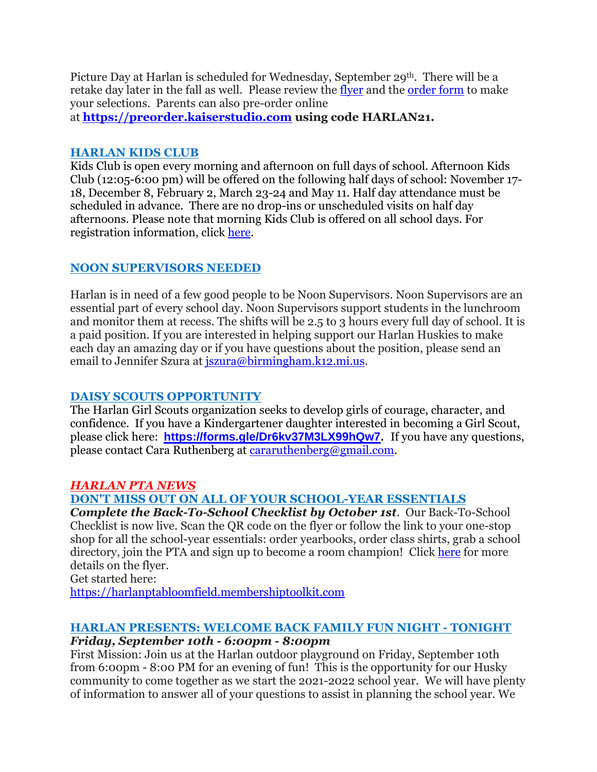Picture Day at Harlan is scheduled for Wednesday, September 29<sup>th</sup>. There will be a retake day later in the fall as well. Please review the [flyer](https://drive.google.com/file/d/1SEc_aTmoA4PyTmNDNhpPpdyAfM_T2nGe/view?usp=sharing) and the [order](https://drive.google.com/file/d/121U7IhsSFLdYDhPPyTGt4COGKzoIH7Fg/view?usp=sharing) form to make your selections. Parents can also pre-order online

at **[https://preorder.kaiserstudio.com](https://preorder.kaiserstudio.com/) using code HARLAN21.**

## **HARLAN KIDS CLUB**

Kids Club is open every morning and afternoon on full days of school. Afternoon Kids Club (12:05-6:00 pm) will be offered on the following half days of school: November 17- 18, December 8, February 2, March 23-24 and May 11. Half day attendance must be scheduled in advance. There are no drop-ins or unscheduled visits on half day afternoons. Please note that morning Kids Club is offered on all school days. For registration information, click [here.](https://www.birmingham.k12.mi.us/cms/lib/MI01908619/Centricity/Domain/494/2021-2022%20KIDS%20CLUB%20registration%20instructions.pdf)

# **NOON SUPERVISORS NEEDED**

Harlan is in need of a few good people to be Noon Supervisors. Noon Supervisors are an essential part of every school day. Noon Supervisors support students in the lunchroom and monitor them at recess. The shifts will be 2.5 to 3 hours every full day of school. It is a paid position. If you are interested in helping support our Harlan Huskies to make each day an amazing day or if you have questions about the position, please send an email to Jennifer Szura at [jszura@birmingham.k12.mi.us.](mailto:jszura@birmingham.k12.mi.us)

# **DAISY SCOUTS OPPORTUNITY**

The Harlan Girl Scouts organization seeks to develop girls of courage, character, and confidence. If you have a Kindergartener daughter interested in becoming a Girl Scout, please click here: **[https://forms.gle/Dr6kv37M3LX99hQw7.](https://forms.gle/Dr6kv37M3LX99hQw7)** If you have any questions, please contact Cara Ruthenberg at [cararuthenberg@gmail.com.](mailto:cararuthenberg@gmail.com)

# *HARLAN PTA NEWS*

# **DON'T MISS OUT ON ALL OF YOUR SCHOOL-YEAR ESSENTIALS**

*Complete the Back-To-School Checklist by October 1st.* Our Back-To-School Checklist is now live. Scan the QR code on the flyer or follow the link to your one-stop shop for all the school-year essentials: order yearbooks, order class shirts, grab a school directory, join the PTA and sign up to become a room champion! Click [here](https://drive.google.com/file/d/1CY9U-lVxwWa1H7jVXMbqOaTOfcYvGk6S/view?usp=sharing) for more details on the flyer.

Get started here:

[https://harlanptabloomfield.membershiptoolkit.com](https://harlanptabloomfield.membershiptoolkit.com/)

#### **HARLAN PRESENTS: WELCOME BACK FAMILY FUN NIGHT - TONIGHT** *Friday, September 10th - 6:00pm - 8:00pm*

First Mission: Join us at the Harlan outdoor playground on Friday, September 10th from 6:00pm - 8:00 PM for an evening of fun! This is the opportunity for our Husky community to come together as we start the 2021-2022 school year. We will have plenty of information to answer all of your questions to assist in planning the school year. We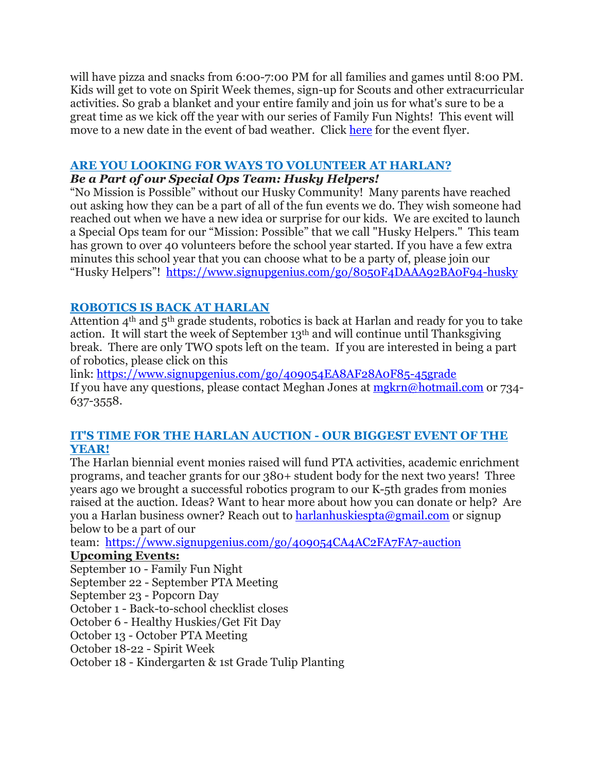will have pizza and snacks from 6:00-7:00 PM for all families and games until 8:00 PM. Kids will get to vote on Spirit Week themes, sign-up for Scouts and other extracurricular activities. So grab a blanket and your entire family and join us for what's sure to be a great time as we kick off the year with our series of Family Fun Nights! This event will move to a new date in the event of bad weather. Click [here](https://drive.google.com/file/d/1eiQiHXU8pNB-uXBRYIF8YZuHlh1yXSoA/view?usp=sharing) for the event flyer.

#### **ARE YOU LOOKING FOR WAYS TO VOLUNTEER AT HARLAN?**

#### *Be a Part of our Special Ops Team: Husky Helpers!*

"No Mission is Possible" without our Husky Community! Many parents have reached out asking how they can be a part of all of the fun events we do. They wish someone had reached out when we have a new idea or surprise for our kids. We are excited to launch a Special Ops team for our "Mission: Possible" that we call "Husky Helpers." This team has grown to over 40 volunteers before the school year started. If you have a few extra minutes this school year that you can choose what to be a party of, please join our "Husky Helpers"! <https://www.signupgenius.com/go/8050F4DAAA92BA0F94-husky>

#### **ROBOTICS IS BACK AT HARLAN**

Attention  $4<sup>th</sup>$  and  $5<sup>th</sup>$  grade students, robotics is back at Harlan and ready for you to take action. It will start the week of September 13th and will continue until Thanksgiving break. There are only TWO spots left on the team. If you are interested in being a part of robotics, please click on this

link: <https://www.signupgenius.com/go/409054EA8AF28A0F85-45grade> If you have any questions, please contact Meghan Jones at [mgkrn@hotmail.com](mailto:mgkrn@hotmail.com) or 734- 637-3558.

#### **IT'S TIME FOR THE HARLAN AUCTION - OUR BIGGEST EVENT OF THE YEAR!**

The Harlan biennial event monies raised will fund PTA activities, academic enrichment programs, and teacher grants for our 380+ student body for the next two years! Three years ago we brought a successful robotics program to our K-5th grades from monies raised at the auction. Ideas? Want to hear more about how you can donate or help? Are you a Harlan business owner? Reach out to [harlanhuskiespta@gmail.com](mailto:harlanhuskiespta@gmail.com) or signup below to be a part of our

team: <https://www.signupgenius.com/go/409054CA4AC2FA7FA7-auction>

#### **Upcoming Events:**

September 10 - Family Fun Night September 22 - September PTA Meeting September 23 - Popcorn Day October 1 - Back-to-school checklist closes October 6 - Healthy Huskies/Get Fit Day October 13 - October PTA Meeting October 18-22 - Spirit Week

October 18 - Kindergarten & 1st Grade Tulip Planting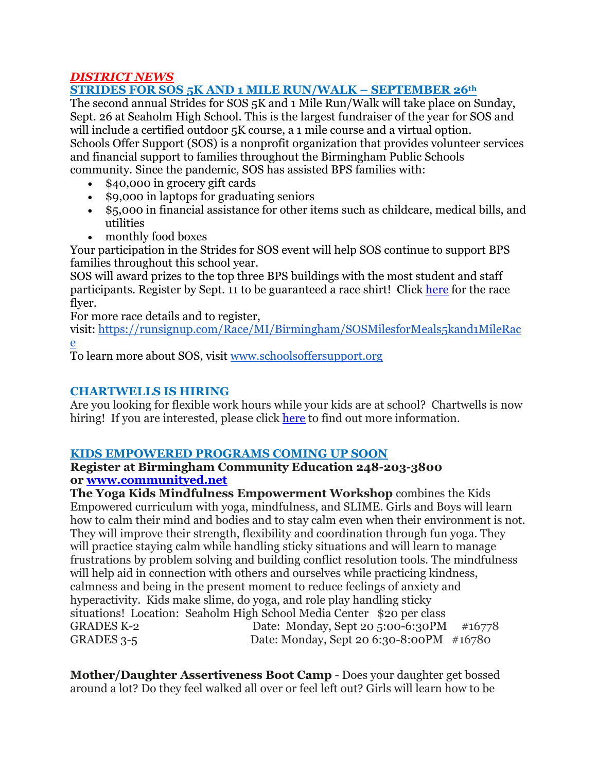## *DISTRICT NEWS*

## **STRIDES FOR SOS 5K AND 1 MILE RUN/WALK – SEPTEMBER 26th**

The second annual Strides for SOS 5K and 1 Mile Run/Walk will take place on Sunday, Sept. 26 at Seaholm High School. This is the largest fundraiser of the year for SOS and will include a certified outdoor 5K course, a 1 mile course and a virtual option. Schools Offer Support (SOS) is a nonprofit organization that provides volunteer services and financial support to families throughout the Birmingham Public Schools community. Since the pandemic, SOS has assisted BPS families with:

- \$40,000 in grocery gift cards
- \$9,000 in laptops for graduating seniors
- \$5,000 in financial assistance for other items such as childcare, medical bills, and utilities
- monthly food boxes

Your participation in the Strides for SOS event will help SOS continue to support BPS families throughout this school year.

SOS will award prizes to the top three BPS buildings with the most student and staff participants. Register by Sept. 11 to be guaranteed a race shirt! Click [here](https://drive.google.com/file/d/1HZiX469TI_RpZDKjbkirZBQQNdvlQpmX/view?usp=sharing) for the race flyer.

For more race details and to register,

visit: [https://runsignup.com/Race/MI/Birmingham/SOSMilesforMeals5kand1MileRac](https://runsignup.com/Race/MI/Birmingham/SOSMilesforMeals5kand1MileRace) [e](https://runsignup.com/Race/MI/Birmingham/SOSMilesforMeals5kand1MileRace)

To learn more about SOS, visit [www.schoolsoffersupport.org](http://www.schoolsoffersupport.org/)

## **CHARTWELLS IS HIRING**

Are you looking for flexible work hours while your kids are at school? Chartwells is now hiring! If you are interested, please click [here](https://drive.google.com/file/d/1BZnOWYoHzPSntYtVL11r7nlIkMYTQFdQ/view?usp=sharing) to find out more information.

## **KIDS EMPOWERED PROGRAMS COMING UP SOON**

#### **Register at Birmingham Community Education 248-203-3800 or [www.communityed.net](http://www.communityed.net/)**

**The Yoga Kids Mindfulness Empowerment Workshop** combines the Kids Empowered curriculum with yoga, mindfulness, and SLIME. Girls and Boys will learn how to calm their mind and bodies and to stay calm even when their environment is not. They will improve their strength, flexibility and coordination through fun yoga. They will practice staying calm while handling sticky situations and will learn to manage frustrations by problem solving and building conflict resolution tools. The mindfulness will help aid in connection with others and ourselves while practicing kindness, calmness and being in the present moment to reduce feelings of anxiety and hyperactivity. Kids make slime, do yoga, and role play handling sticky situations! Location: Seaholm High School Media Center \$20 per class GRADES K-2 Date: Monday, Sept 20 5:00-6:30PM #16778 GRADES 3-5 Date: Monday, Sept 20 6:30-8:00PM #16780

**Mother/Daughter Assertiveness Boot Camp** - Does your daughter get bossed around a lot? Do they feel walked all over or feel left out? Girls will learn how to be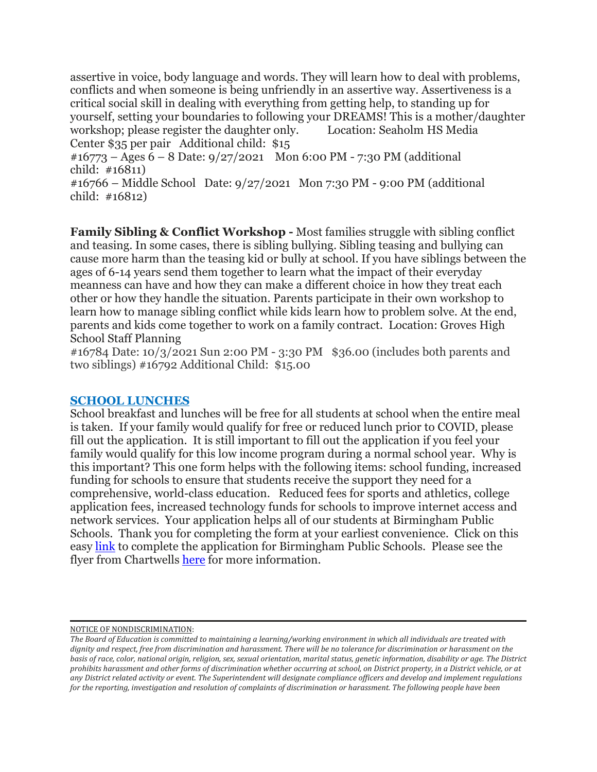assertive in voice, body language and words. They will learn how to deal with problems, conflicts and when someone is being unfriendly in an assertive way. Assertiveness is a critical social skill in dealing with everything from getting help, to standing up for yourself, setting your boundaries to following your DREAMS! This is a mother/daughter workshop; please register the daughter only. Center \$35 per pair Additional child: \$15

 $\text{\#16773}$  – Ages 6 – 8 Date: 9/27/2021 Mon 6:00 PM - 7:30 PM (additional child: #16811)

#16766 – Middle School Date: 9/27/2021 Mon 7:30 PM - 9:00 PM (additional child: #16812)

**Family Sibling & Conflict Workshop -** Most families struggle with sibling conflict and teasing. In some cases, there is sibling bullying. Sibling teasing and bullying can cause more harm than the teasing kid or bully at school. If you have siblings between the ages of 6-14 years send them together to learn what the impact of their everyday meanness can have and how they can make a different choice in how they treat each other or how they handle the situation. Parents participate in their own workshop to learn how to manage sibling conflict while kids learn how to problem solve. At the end, parents and kids come together to work on a family contract. Location: Groves High School Staff Planning

#16784 Date: 10/3/2021 Sun 2:00 PM - 3:30 PM \$36.00 (includes both parents and two siblings) #16792 Additional Child: \$15.00

#### **SCHOOL LUNCHES**

School breakfast and lunches will be free for all students at school when the entire meal is taken. If your family would qualify for free or reduced lunch prior to COVID, please fill out the application. It is still important to fill out the application if you feel your family would qualify for this low income program during a normal school year. Why is this important? This one form helps with the following items: school funding, increased funding for schools to ensure that students receive the support they need for a comprehensive, world-class education. Reduced fees for sports and athletics, college application fees, increased technology funds for schools to improve internet access and network services. Your application helps all of our students at Birmingham Public Schools. Thank you for completing the form at your earliest convenience. Click on this easy [link](https://www.lunchapp.com/) to complete the application for Birmingham Public Schools. Please see the flyer from Chartwells [here](https://docs.google.com/presentation/d/1Cg1-uEvuGrttRLgA1PKoZH1kp1TSFb3M/edit?usp=sharing&ouid=116191433314317801474&rtpof=true&sd=true) for more information.

NOTICE OF NONDISCRIMINATION:

The Board of Education is committed to maintaining a learning/working environment in which all individuals are treated with dignity and respect, free from discrimination and harassment. There will be no tolerance for discrimination or harassment on the basis of race, color, national origin, religion, sex, sexual orientation, marital status, genetic information, disability or age. The District prohibits harassment and other forms of discrimination whether occurring at school, on District property, in a District vehicle, or at any District related activity or event. The Superintendent will designate compliance officers and develop and implement regulations for the reporting, investigation and resolution of complaints of discrimination or harassment. The following people have been